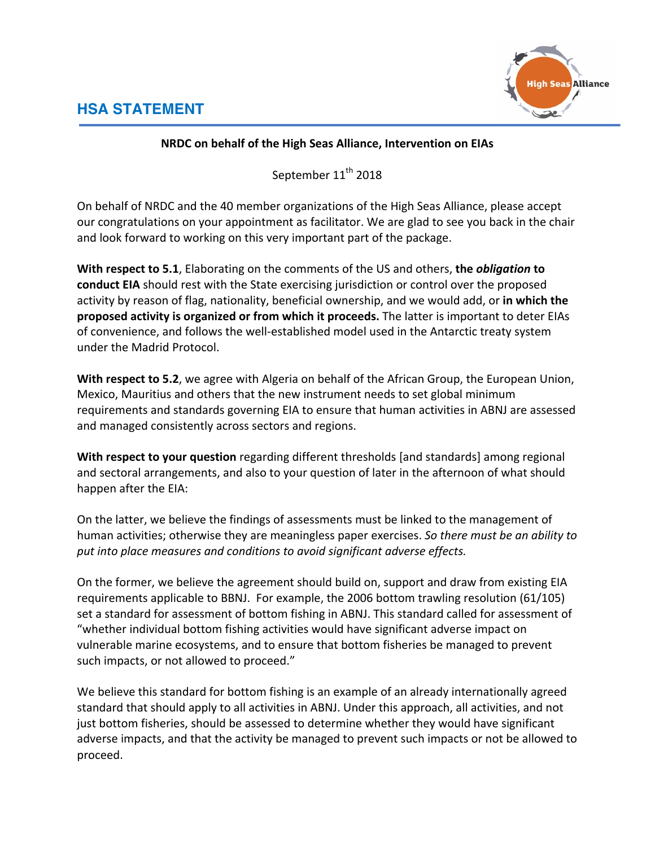

## **NRDC on behalf of the High Seas Alliance, Intervention on EIAs**

September 11<sup>th</sup> 2018

On behalf of NRDC and the 40 member organizations of the High Seas Alliance, please accept our congratulations on your appointment as facilitator. We are glad to see you back in the chair and look forward to working on this very important part of the package.

**With respect to 5.1**, Elaborating on the comments of the US and others, the *obligation* to **conduct EIA** should rest with the State exercising jurisdiction or control over the proposed activity by reason of flag, nationality, beneficial ownership, and we would add, or in which the **proposed activity is organized or from which it proceeds.** The latter is important to deter EIAs of convenience, and follows the well-established model used in the Antarctic treaty system under the Madrid Protocol.

**With respect to 5.2**, we agree with Algeria on behalf of the African Group, the European Union, Mexico, Mauritius and others that the new instrument needs to set global minimum requirements and standards governing EIA to ensure that human activities in ABNJ are assessed and managed consistently across sectors and regions.

**With respect to your question** regarding different thresholds [and standards] among regional and sectoral arrangements, and also to your question of later in the afternoon of what should happen after the EIA:

On the latter, we believe the findings of assessments must be linked to the management of human activities; otherwise they are meaningless paper exercises. So there must be an ability to put into place measures and conditions to avoid significant adverse effects.

On the former, we believe the agreement should build on, support and draw from existing EIA requirements applicable to BBNJ. For example, the  $2006$  bottom trawling resolution  $(61/105)$ set a standard for assessment of bottom fishing in ABNJ. This standard called for assessment of "whether individual bottom fishing activities would have significant adverse impact on vulnerable marine ecosystems, and to ensure that bottom fisheries be managed to prevent such impacts, or not allowed to proceed."

We believe this standard for bottom fishing is an example of an already internationally agreed standard that should apply to all activities in ABNJ. Under this approach, all activities, and not just bottom fisheries, should be assessed to determine whether they would have significant adverse impacts, and that the activity be managed to prevent such impacts or not be allowed to proceed.